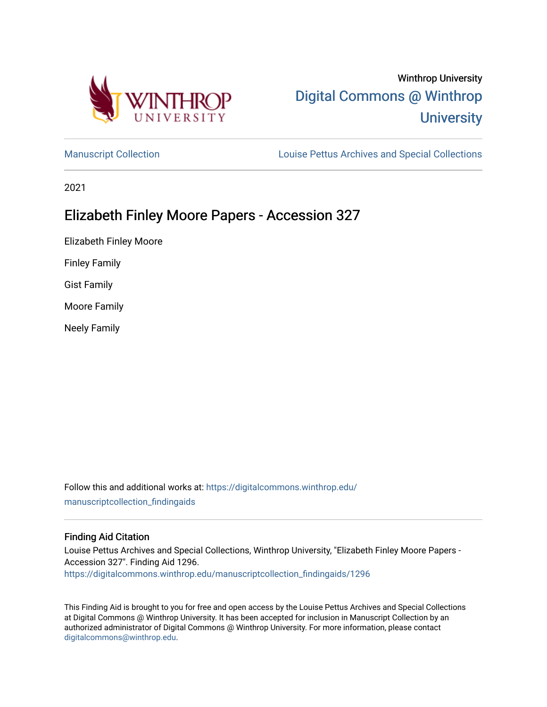

# Winthrop University [Digital Commons @ Winthrop](https://digitalcommons.winthrop.edu/)  **University**

[Manuscript Collection](https://digitalcommons.winthrop.edu/manuscriptcollection_findingaids) **Louise Pettus Archives and Special Collections** 

2021

# Elizabeth Finley Moore Papers - Accession 327

Elizabeth Finley Moore

Finley Family

Gist Family

Moore Family

Neely Family

Follow this and additional works at: [https://digitalcommons.winthrop.edu/](https://digitalcommons.winthrop.edu/manuscriptcollection_findingaids?utm_source=digitalcommons.winthrop.edu%2Fmanuscriptcollection_findingaids%2F1296&utm_medium=PDF&utm_campaign=PDFCoverPages) [manuscriptcollection\\_findingaids](https://digitalcommons.winthrop.edu/manuscriptcollection_findingaids?utm_source=digitalcommons.winthrop.edu%2Fmanuscriptcollection_findingaids%2F1296&utm_medium=PDF&utm_campaign=PDFCoverPages) 

### Finding Aid Citation

Louise Pettus Archives and Special Collections, Winthrop University, "Elizabeth Finley Moore Papers - Accession 327". Finding Aid 1296. [https://digitalcommons.winthrop.edu/manuscriptcollection\\_findingaids/1296](https://digitalcommons.winthrop.edu/manuscriptcollection_findingaids/1296?utm_source=digitalcommons.winthrop.edu%2Fmanuscriptcollection_findingaids%2F1296&utm_medium=PDF&utm_campaign=PDFCoverPages) 

This Finding Aid is brought to you for free and open access by the Louise Pettus Archives and Special Collections at Digital Commons @ Winthrop University. It has been accepted for inclusion in Manuscript Collection by an authorized administrator of Digital Commons @ Winthrop University. For more information, please contact [digitalcommons@winthrop.edu](mailto:digitalcommons@winthrop.edu).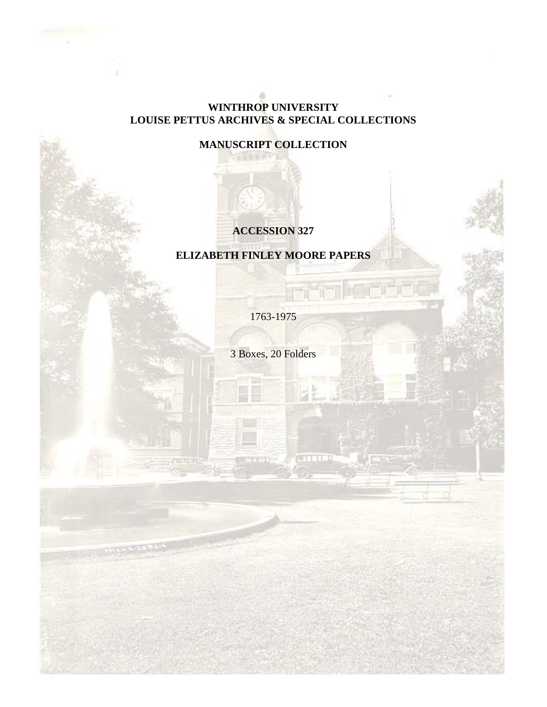## **WINTHROP UNIVERSITY LOUISE PETTUS ARCHIVES & SPECIAL COLLECTIONS**

**MANUSCRIPT COLLECTION**

# **ACCESSION 327**

# **ELIZABETH FINLEY MOORE PAPERS**

1763-1975

3 Boxes, 20 Folders

**CELLER**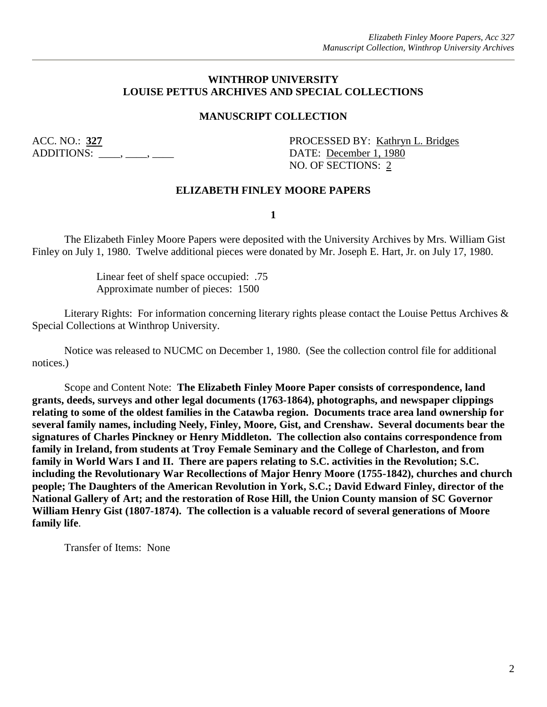### **WINTHROP UNIVERSITY LOUISE PETTUS ARCHIVES AND SPECIAL COLLECTIONS**

### **MANUSCRIPT COLLECTION**

ADDITIONS:  $\qquad \qquad , \qquad \qquad , \qquad$ 

ACC. NO.: **327** PROCESSED BY: Kathryn L. Bridges NO. OF SECTIONS: 2

### **ELIZABETH FINLEY MOORE PAPERS**

**1**

The Elizabeth Finley Moore Papers were deposited with the University Archives by Mrs. William Gist Finley on July 1, 1980. Twelve additional pieces were donated by Mr. Joseph E. Hart, Jr. on July 17, 1980.

> Linear feet of shelf space occupied: .75 Approximate number of pieces: 1500

Literary Rights: For information concerning literary rights please contact the Louise Pettus Archives & Special Collections at Winthrop University.

Notice was released to NUCMC on December 1, 1980. (See the collection control file for additional notices.)

Scope and Content Note: **The Elizabeth Finley Moore Paper consists of correspondence, land grants, deeds, surveys and other legal documents (1763-1864), photographs, and newspaper clippings relating to some of the oldest families in the Catawba region. Documents trace area land ownership for several family names, including Neely, Finley, Moore, Gist, and Crenshaw. Several documents bear the signatures of Charles Pinckney or Henry Middleton. The collection also contains correspondence from family in Ireland, from students at Troy Female Seminary and the College of Charleston, and from family in World Wars I and II. There are papers relating to S.C. activities in the Revolution; S.C. including the Revolutionary War Recollections of Major Henry Moore (1755-1842), churches and church people; The Daughters of the American Revolution in York, S.C.; David Edward Finley, director of the National Gallery of Art; and the restoration of Rose Hill, the Union County mansion of SC Governor William Henry Gist (1807-1874). The collection is a valuable record of several generations of Moore family life**.

Transfer of Items: None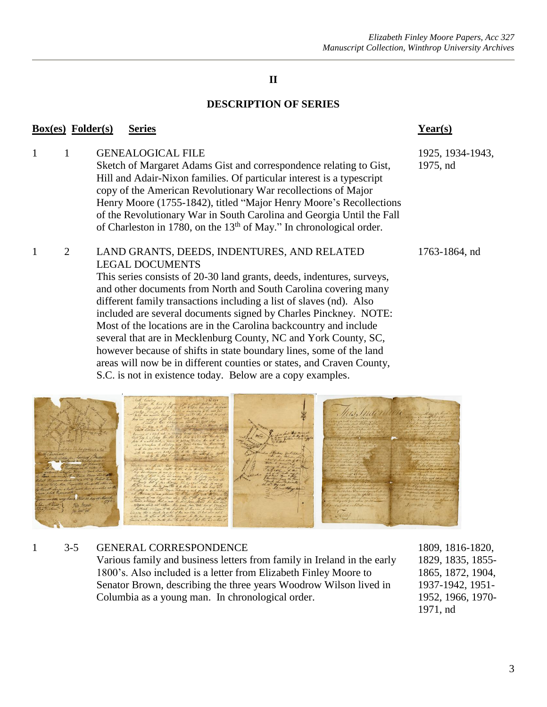### **DESCRIPTION OF SERIES**

### **Box(es) Folder(s) Series Year(s)**

1 1 GENEALOGICAL FILE 1925, 1934-1943, Sketch of Margaret Adams Gist and correspondence relating to Gist, 1975, nd Hill and Adair-Nixon families. Of particular interest is a typescript copy of the American Revolutionary War recollections of Major Henry Moore (1755-1842), titled "Major Henry Moore's Recollections of the Revolutionary War in South Carolina and Georgia Until the Fall of Charleston in 1780, on the  $13<sup>th</sup>$  of May." In chronological order.

### 1 2 LAND GRANTS, DEEDS, INDENTURES, AND RELATED 1763-1864, nd LEGAL DOCUMENTS

This series consists of 20-30 land grants, deeds, indentures, surveys, and other documents from North and South Carolina covering many different family transactions including a list of slaves (nd). Also included are several documents signed by Charles Pinckney. NOTE: Most of the locations are in the Carolina backcountry and include several that are in Mecklenburg County, NC and York County, SC, however because of shifts in state boundary lines, some of the land areas will now be in different counties or states, and Craven County, S.C. is not in existence today. Below are a copy examples.



## 1 3-5 GENERAL CORRESPONDENCE 1809, 1816-1820,

Various family and business letters from family in Ireland in the early 1829, 1835, 1855-1800's. Also included is a letter from Elizabeth Finley Moore to 1865, 1872, 1904, Senator Brown, describing the three years Woodrow Wilson lived in 1937-1942, 1951- Columbia as a young man. In chronological order. 1952, 1966, 1970-

1971, nd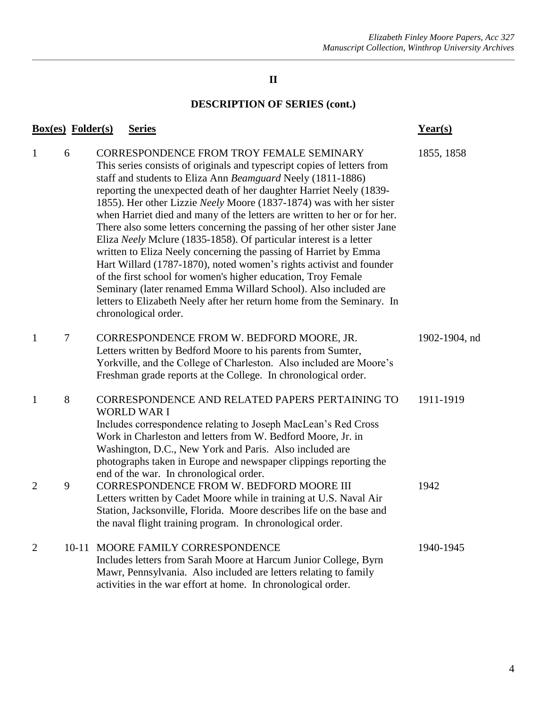# **DESCRIPTION OF SERIES (cont.)**

| <b>Box(es)</b> Folder(s) |   | <b>Series</b>                                                                                                                                                                                                                                                                                                                                                                                                                                                                                                                                                                                                                                                                                                                                                                                                                                                                                                                                         | $Year(s)$     |
|--------------------------|---|-------------------------------------------------------------------------------------------------------------------------------------------------------------------------------------------------------------------------------------------------------------------------------------------------------------------------------------------------------------------------------------------------------------------------------------------------------------------------------------------------------------------------------------------------------------------------------------------------------------------------------------------------------------------------------------------------------------------------------------------------------------------------------------------------------------------------------------------------------------------------------------------------------------------------------------------------------|---------------|
| $\mathbf{1}$             | 6 | <b>CORRESPONDENCE FROM TROY FEMALE SEMINARY</b><br>This series consists of originals and typescript copies of letters from<br>staff and students to Eliza Ann Beamguard Neely (1811-1886)<br>reporting the unexpected death of her daughter Harriet Neely (1839-<br>1855). Her other Lizzie Neely Moore (1837-1874) was with her sister<br>when Harriet died and many of the letters are written to her or for her.<br>There also some letters concerning the passing of her other sister Jane<br>Eliza Neely Mclure (1835-1858). Of particular interest is a letter<br>written to Eliza Neely concerning the passing of Harriet by Emma<br>Hart Willard (1787-1870), noted women's rights activist and founder<br>of the first school for women's higher education, Troy Female<br>Seminary (later renamed Emma Willard School). Also included are<br>letters to Elizabeth Neely after her return home from the Seminary. In<br>chronological order. | 1855, 1858    |
| $\mathbf{1}$             | 7 | CORRESPONDENCE FROM W. BEDFORD MOORE, JR.<br>Letters written by Bedford Moore to his parents from Sumter,<br>Yorkville, and the College of Charleston. Also included are Moore's<br>Freshman grade reports at the College. In chronological order.                                                                                                                                                                                                                                                                                                                                                                                                                                                                                                                                                                                                                                                                                                    | 1902-1904, nd |
| $\mathbf{1}$             | 8 | CORRESPONDENCE AND RELATED PAPERS PERTAINING TO<br><b>WORLD WAR I</b><br>Includes correspondence relating to Joseph MacLean's Red Cross<br>Work in Charleston and letters from W. Bedford Moore, Jr. in<br>Washington, D.C., New York and Paris. Also included are<br>photographs taken in Europe and newspaper clippings reporting the<br>end of the war. In chronological order.                                                                                                                                                                                                                                                                                                                                                                                                                                                                                                                                                                    | 1911-1919     |
| $\overline{2}$           | 9 | CORRESPONDENCE FROM W. BEDFORD MOORE III<br>Letters written by Cadet Moore while in training at U.S. Naval Air<br>Station, Jacksonville, Florida. Moore describes life on the base and<br>the naval flight training program. In chronological order.                                                                                                                                                                                                                                                                                                                                                                                                                                                                                                                                                                                                                                                                                                  | 1942          |
| $\overline{2}$           |   | 10-11 MOORE FAMILY CORRESPONDENCE<br>Includes letters from Sarah Moore at Harcum Junior College, Byrn<br>Mawr, Pennsylvania. Also included are letters relating to family<br>activities in the war effort at home. In chronological order.                                                                                                                                                                                                                                                                                                                                                                                                                                                                                                                                                                                                                                                                                                            | 1940-1945     |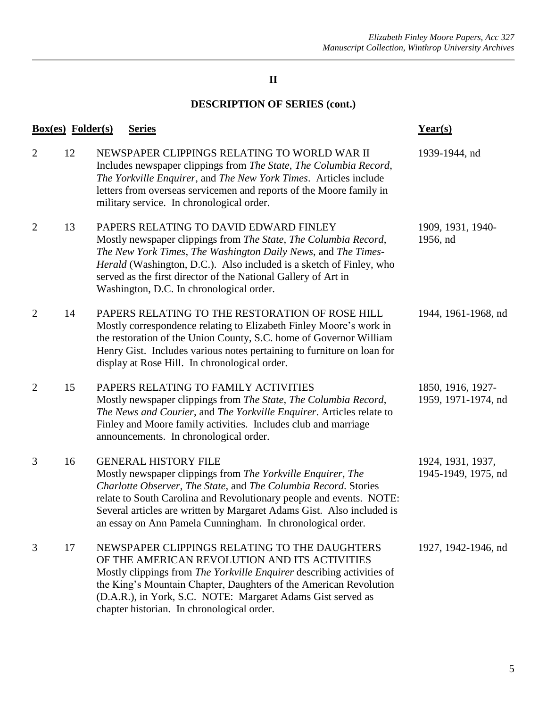# **DESCRIPTION OF SERIES (cont.)**

|                | <b>Box(es)</b> Folder(s) | <b>Series</b>                                                                                                                                                                                                                                                                                                                                                               | Year(s)                                  |
|----------------|--------------------------|-----------------------------------------------------------------------------------------------------------------------------------------------------------------------------------------------------------------------------------------------------------------------------------------------------------------------------------------------------------------------------|------------------------------------------|
| $\overline{2}$ | 12                       | NEWSPAPER CLIPPINGS RELATING TO WORLD WAR II<br>Includes newspaper clippings from The State, The Columbia Record,<br>The Yorkville Enquirer, and The New York Times. Articles include<br>letters from overseas servicemen and reports of the Moore family in<br>military service. In chronological order.                                                                   | 1939-1944, nd                            |
| $\overline{2}$ | 13                       | PAPERS RELATING TO DAVID EDWARD FINLEY<br>Mostly newspaper clippings from The State, The Columbia Record,<br>The New York Times, The Washington Daily News, and The Times-<br>Herald (Washington, D.C.). Also included is a sketch of Finley, who<br>served as the first director of the National Gallery of Art in<br>Washington, D.C. In chronological order.             | 1909, 1931, 1940-<br>1956, nd            |
| $\overline{2}$ | 14                       | PAPERS RELATING TO THE RESTORATION OF ROSE HILL<br>Mostly correspondence relating to Elizabeth Finley Moore's work in<br>the restoration of the Union County, S.C. home of Governor William<br>Henry Gist. Includes various notes pertaining to furniture on loan for<br>display at Rose Hill. In chronological order.                                                      | 1944, 1961-1968, nd                      |
| $\overline{2}$ | 15                       | PAPERS RELATING TO FAMILY ACTIVITIES<br>Mostly newspaper clippings from The State, The Columbia Record,<br>The News and Courier, and The Yorkville Enquirer. Articles relate to<br>Finley and Moore family activities. Includes club and marriage<br>announcements. In chronological order.                                                                                 | 1850, 1916, 1927-<br>1959, 1971-1974, nd |
| 3              | 16                       | <b>GENERAL HISTORY FILE</b><br>Mostly newspaper clippings from The Yorkville Enquirer, The<br>Charlotte Observer, The State, and The Columbia Record. Stories<br>relate to South Carolina and Revolutionary people and events. NOTE:<br>Several articles are written by Margaret Adams Gist. Also included is<br>an essay on Ann Pamela Cunningham. In chronological order. | 1924, 1931, 1937,<br>1945-1949, 1975, nd |
| 3              | 17                       | NEWSPAPER CLIPPINGS RELATING TO THE DAUGHTERS<br>OF THE AMERICAN REVOLUTION AND ITS ACTIVITIES<br>Mostly clippings from The Yorkville Enquirer describing activities of<br>the King's Mountain Chapter, Daughters of the American Revolution<br>(D.A.R.), in York, S.C. NOTE: Margaret Adams Gist served as<br>chapter historian. In chronological order.                   | 1927, 1942-1946, nd                      |